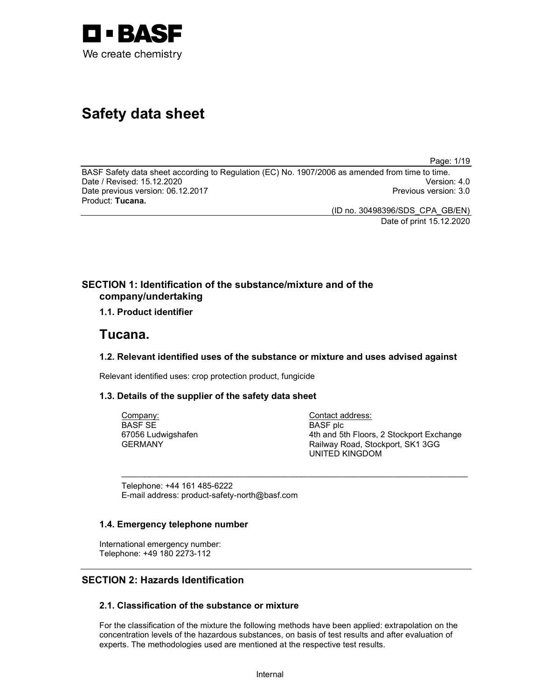

# Safety data sheet

Page: 1/19

BASF Safety data sheet according to Regulation (EC) No. 1907/2006 as amended from time to time. Date / Revised: 15.12.2020 Version: 4.0 Date previous version: 06.12.2017 **Previous version: 3.0** Previous version: 3.0 Product: Tucana.

(ID no. 30498396/SDS\_CPA\_GB/EN) Date of print 15.12.2020

## SECTION 1: Identification of the substance/mixture and of the company/undertaking

1.1. Product identifier

## Tucana.

## 1.2. Relevant identified uses of the substance or mixture and uses advised against

 $\sim$  . The contribution of the contribution of the contribution of the contribution of the contribution of the contribution of the contribution of the contribution of the contribution of the contribution of the contributi

Relevant identified uses: crop protection product, fungicide

## 1.3. Details of the supplier of the safety data sheet

Company: BASF SE 67056 Ludwigshafen GERMANY

Contact address: BASF plc 4th and 5th Floors, 2 Stockport Exchange Railway Road, Stockport, SK1 3GG UNITED KINGDOM

Telephone: +44 161 485-6222 E-mail address: product-safety-north@basf.com

## 1.4. Emergency telephone number

International emergency number: Telephone: +49 180 2273-112

## SECTION 2: Hazards Identification

## 2.1. Classification of the substance or mixture

For the classification of the mixture the following methods have been applied: extrapolation on the concentration levels of the hazardous substances, on basis of test results and after evaluation of experts. The methodologies used are mentioned at the respective test results.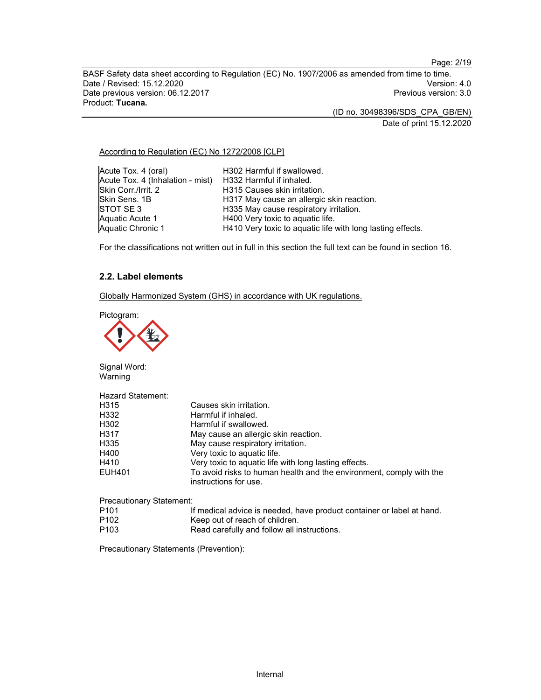Page: 2/19

BASF Safety data sheet according to Regulation (EC) No. 1907/2006 as amended from time to time.<br>Date / Revised: 15.12.2020 Date / Revised: 15.12.2020 Date previous version: 06.12.2017 **Previous version: 3.0** Previous version: 3.0 Product: Tucana.

(ID no. 30498396/SDS\_CPA\_GB/EN)

Date of print 15.12.2020

According to Regulation (EC) No 1272/2008 [CLP]

| Acute Tox. 4 (oral)                                       | H302 Harmful if swallowed.                                 |
|-----------------------------------------------------------|------------------------------------------------------------|
| Acute Tox. 4 (Inhalation - mist) H332 Harmful if inhaled. |                                                            |
| Skin Corr./Irrit. 2                                       | H315 Causes skin irritation.                               |
| Skin Sens. 1B                                             | H317 May cause an allergic skin reaction.                  |
| ISTOT SE 3                                                | H335 May cause respiratory irritation.                     |
| Aquatic Acute 1                                           | H400 Very toxic to aquatic life.                           |
| Aquatic Chronic 1                                         | H410 Very toxic to aquatic life with long lasting effects. |

For the classifications not written out in full in this section the full text can be found in section 16.

## 2.2. Label elements

Globally Harmonized System (GHS) in accordance with UK regulations.

Pictogram:



Signal Word: Warning

| <b>Hazard Statement:</b>        |                                                                                              |
|---------------------------------|----------------------------------------------------------------------------------------------|
| H315                            | Causes skin irritation.                                                                      |
| H332                            | Harmful if inhaled.                                                                          |
| H302                            | Harmful if swallowed.                                                                        |
| H317                            | May cause an allergic skin reaction.                                                         |
| H335                            | May cause respiratory irritation.                                                            |
| H400                            | Very toxic to aquatic life.                                                                  |
| H410                            | Very toxic to aquatic life with long lasting effects.                                        |
| EUH401                          | To avoid risks to human health and the environment, comply with the<br>instructions for use. |
| <b>Precautionary Statement:</b> |                                                                                              |

| P <sub>101</sub> | If medical advice is needed, have product container or label at hand. |
|------------------|-----------------------------------------------------------------------|
| P <sub>102</sub> | Keep out of reach of children.                                        |
| P <sub>103</sub> | Read carefully and follow all instructions.                           |

Precautionary Statements (Prevention):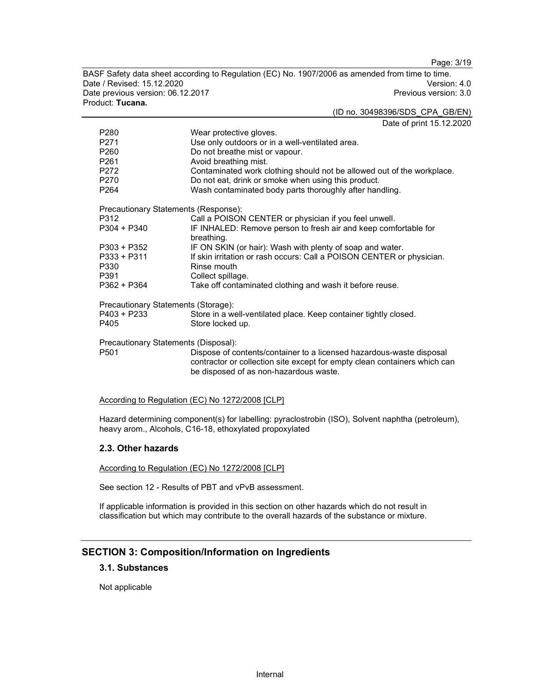Page: 3/19

BASF Safety data sheet according to Regulation (EC) No. 1907/2006 as amended from time to time.<br>Date / Revised: 15.12.2020 Date / Revised: 15.12.2020 Date previous version: 06.12.2017 **Previous version: 3.0** Previous version: 3.0 Product: Tucana.

(ID no. 30498396/SDS\_CPA\_GB/EN)

 $\frac{1}{100}$  15.12.2020

|                                      | Date of print 15.12.2                                                     |
|--------------------------------------|---------------------------------------------------------------------------|
| P <sub>280</sub>                     | Wear protective gloves.                                                   |
| P271                                 | Use only outdoors or in a well-ventilated area.                           |
| P260                                 | Do not breathe mist or vapour.                                            |
| P <sub>261</sub>                     | Avoid breathing mist.                                                     |
| P272                                 | Contaminated work clothing should not be allowed out of the workplace.    |
| P270                                 | Do not eat, drink or smoke when using this product.                       |
| P <sub>264</sub>                     | Wash contaminated body parts thoroughly after handling.                   |
| Precautionary Statements (Response): |                                                                           |
| P312                                 | Call a POISON CENTER or physician if you feel unwell.                     |
| P304 + P340                          | IF INHALED: Remove person to fresh air and keep comfortable for           |
|                                      | breathing.                                                                |
| $P303 + P352$                        | IF ON SKIN (or hair): Wash with plenty of soap and water.                 |
| P333 + P311                          | If skin irritation or rash occurs: Call a POISON CENTER or physician.     |
| P330                                 | Rinse mouth                                                               |
| P391                                 | Collect spillage.                                                         |
| P362 + P364                          | Take off contaminated clothing and wash it before reuse.                  |
| Precautionary Statements (Storage):  |                                                                           |
| P403 + P233                          | Store in a well-ventilated place. Keep container tightly closed.          |
| P405                                 | Store locked up.                                                          |
| Precautionary Statements (Disposal): |                                                                           |
| P <sub>501</sub>                     | Dispose of contents/container to a licensed hazardous-waste disposal      |
|                                      | contractor or collection site except for empty clean containers which can |
|                                      | be disposed of as non-hazardous waste.                                    |
|                                      |                                                                           |

#### According to Regulation (EC) No 1272/2008 [CLP]

Hazard determining component(s) for labelling: pyraclostrobin (ISO), Solvent naphtha (petroleum), heavy arom., Alcohols, C16-18, ethoxylated propoxylated

## 2.3. Other hazards

According to Regulation (EC) No 1272/2008 [CLP]

See section 12 - Results of PBT and vPvB assessment.

If applicable information is provided in this section on other hazards which do not result in classification but which may contribute to the overall hazards of the substance or mixture.

## SECTION 3: Composition/Information on Ingredients

#### 3.1. Substances

Not applicable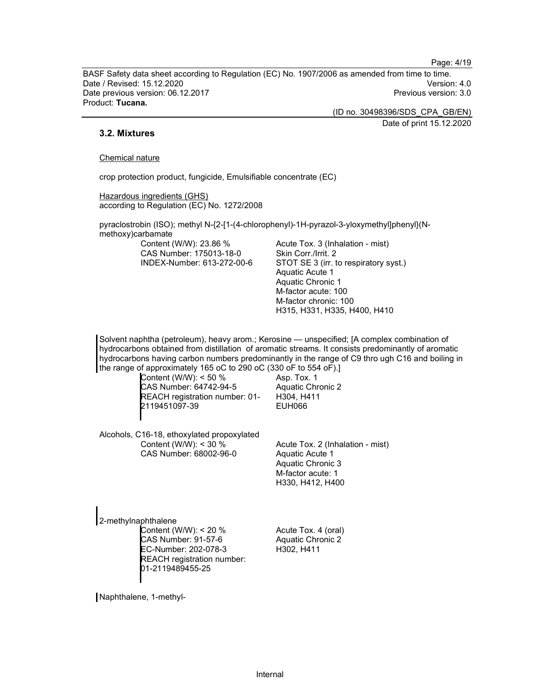Page: 4/19

BASF Safety data sheet according to Regulation (EC) No. 1907/2006 as amended from time to time. Date / Revised: 15.12.2020 Version: 4.0 Date previous version: 06.12.2017 **Previous version: 3.0** Previous version: 3.0 Product: Tucana.

(ID no. 30498396/SDS\_CPA\_GB/EN)

Date of print 15.12.2020

## 3.2. Mixtures

#### Chemical nature

crop protection product, fungicide, Emulsifiable concentrate (EC)

Hazardous ingredients (GHS) according to Regulation (EC) No. 1272/2008

pyraclostrobin (ISO); methyl N-{2-[1-(4-chlorophenyl)-1H-pyrazol-3-yloxymethyl]phenyl}(Nmethoxy)carbamate

Content (W/W): 23.86 % CAS Number: 175013-18-0 INDEX-Number: 613-272-00-6 Acute Tox. 3 (Inhalation - mist) Skin Corr./Irrit. 2 STOT SE 3 (irr. to respiratory syst.) Aquatic Acute 1 Aquatic Chronic 1 M-factor acute: 100 M-factor chronic: 100 H315, H331, H335, H400, H410

Solvent naphtha (petroleum), heavy arom.; Kerosine — unspecified; [A complex combination of hydrocarbons obtained from distillation of aromatic streams. It consists predominantly of aromatic hydrocarbons having carbon numbers predominantly in the range of C9 thro ugh C16 and boiling in the range of approximately 165 oC to 290 oC (330 oF to 554 oF).]

Content (W/W): < 50 % CAS Number: 64742-94-5 REACH registration number: 01- 2119451097-39

Asp. Tox. 1 Aquatic Chronic 2 H304, H411 EUH066

Alcohols, C16-18, ethoxylated propoxylated Content (W/W): < 30 % CAS Number: 68002-96-0

Acute Tox. 2 (Inhalation - mist) Aquatic Acute 1 Aquatic Chronic 3 M-factor acute: 1 H330, H412, H400

2-methylnaphthalene Content (W/W): < 20 % CAS Number: 91-57-6 EC-Number: 202-078-3 REACH registration number: 01-2119489455-25

Acute Tox. 4 (oral) Aquatic Chronic 2 H302, H411

Naphthalene, 1-methyl-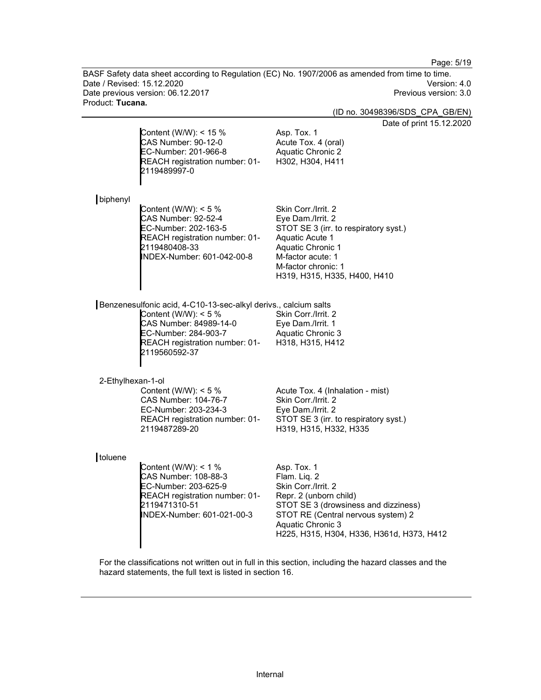Page: 5/19

BASF Safety data sheet according to Regulation (EC) No. 1907/2006 as amended from time to time. Date / Revised: 15.12.2020 Date previous version: 06.12.2017 Charles and the United States of Previous version: 3.0 Product: Tucana.

(ID no. 30498396/SDS\_CPA\_GB/EN)

2.2020

|                   | Content (W/W): < $15%$<br>CAS Number: 90-12-0<br>EC-Number: 201-966-8<br>REACH registration number: 01-<br>2119489997-0                                                                        | Date of print 15.12<br>Asp. Tox. 1<br>Acute Tox. 4 (oral)<br>Aquatic Chronic 2<br>H302, H304, H411                                                                                                                           |
|-------------------|------------------------------------------------------------------------------------------------------------------------------------------------------------------------------------------------|------------------------------------------------------------------------------------------------------------------------------------------------------------------------------------------------------------------------------|
| biphenyl          | Content (W/W): $<$ 5 %<br><b>CAS Number: 92-52-4</b><br>EC-Number: 202-163-5<br>REACH registration number: 01-<br>2119480408-33<br>INDEX-Number: 601-042-00-8                                  | Skin Corr./Irrit. 2<br>Eye Dam./Irrit. 2<br>STOT SE 3 (irr. to respiratory syst.)<br>Aquatic Acute 1<br>Aquatic Chronic 1<br>M-factor acute: 1<br>M-factor chronic: 1<br>H319, H315, H335, H400, H410                        |
|                   | Benzenesulfonic acid, 4-C10-13-sec-alkyl derivs., calcium salts<br>Content (W/W): $<$ 5 %<br>CAS Number: 84989-14-0<br>EC-Number: 284-903-7<br>REACH registration number: 01-<br>2119560592-37 | Skin Corr./Irrit. 2<br>Eye Dam./Irrit. 1<br>Aquatic Chronic 3<br>H318, H315, H412                                                                                                                                            |
| 2-Ethylhexan-1-ol | Content (W/W): $<$ 5 %<br>CAS Number: 104-76-7<br>EC-Number: 203-234-3<br>REACH registration number: 01-<br>2119487289-20                                                                      | Acute Tox. 4 (Inhalation - mist)<br>Skin Corr./Irrit. 2<br>Eye Dam./Irrit. 2<br>STOT SE 3 (irr. to respiratory syst.)<br>H319, H315, H332, H335                                                                              |
| toluene           | Content (W/W): < $1%$<br>CAS Number: 108-88-3<br>EC-Number: 203-625-9<br>REACH registration number: 01-<br>2119471310-51<br>INDEX-Number: 601-021-00-3                                         | Asp. Tox. 1<br>Flam. Liq. 2<br>Skin Corr./Irrit. 2<br>Repr. 2 (unborn child)<br>STOT SE 3 (drowsiness and dizziness)<br>STOT RE (Central nervous system) 2<br>Aquatic Chronic 3<br>H225, H315, H304, H336, H361d, H373, H412 |

For the classifications not written out in full in this section, including the hazard classes and the hazard statements, the full text is listed in section 16.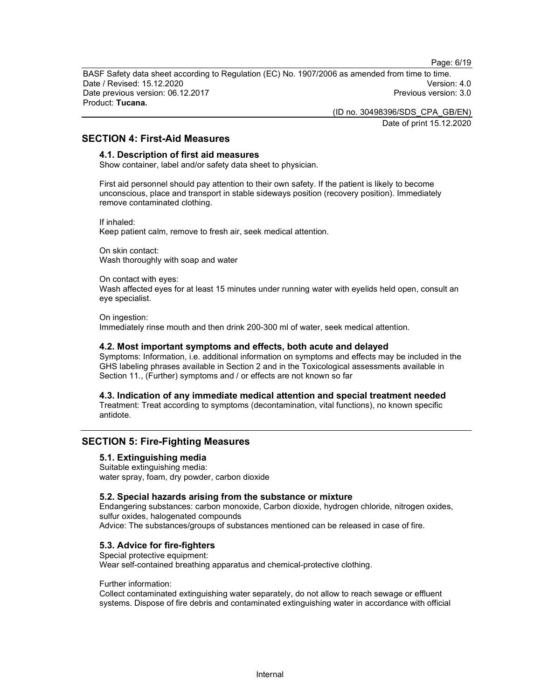Page: 6/19

BASF Safety data sheet according to Regulation (EC) No. 1907/2006 as amended from time to time. Date / Revised: 15.12.2020 Version: 4.0 Date previous version: 06.12.2017 **Previous version: 3.0** Previous version: 3.0 Product: Tucana.

(ID no. 30498396/SDS\_CPA\_GB/EN)

Date of print 15.12.2020

## SECTION 4: First-Aid Measures

### 4.1. Description of first aid measures

Show container, label and/or safety data sheet to physician.

First aid personnel should pay attention to their own safety. If the patient is likely to become unconscious, place and transport in stable sideways position (recovery position). Immediately remove contaminated clothing.

If inhaled: Keep patient calm, remove to fresh air, seek medical attention.

On skin contact: Wash thoroughly with soap and water

On contact with eyes: Wash affected eyes for at least 15 minutes under running water with eyelids held open, consult an eye specialist.

On ingestion: Immediately rinse mouth and then drink 200-300 ml of water, seek medical attention.

#### 4.2. Most important symptoms and effects, both acute and delayed

Symptoms: Information, i.e. additional information on symptoms and effects may be included in the GHS labeling phrases available in Section 2 and in the Toxicological assessments available in Section 11., (Further) symptoms and / or effects are not known so far

4.3. Indication of any immediate medical attention and special treatment needed Treatment: Treat according to symptoms (decontamination, vital functions), no known specific antidote.

## SECTION 5: Fire-Fighting Measures

## 5.1. Extinguishing media

Suitable extinguishing media: water spray, foam, dry powder, carbon dioxide

#### 5.2. Special hazards arising from the substance or mixture

Endangering substances: carbon monoxide, Carbon dioxide, hydrogen chloride, nitrogen oxides, sulfur oxides, halogenated compounds Advice: The substances/groups of substances mentioned can be released in case of fire.

## 5.3. Advice for fire-fighters

Special protective equipment: Wear self-contained breathing apparatus and chemical-protective clothing.

## Further information:

Collect contaminated extinguishing water separately, do not allow to reach sewage or effluent systems. Dispose of fire debris and contaminated extinguishing water in accordance with official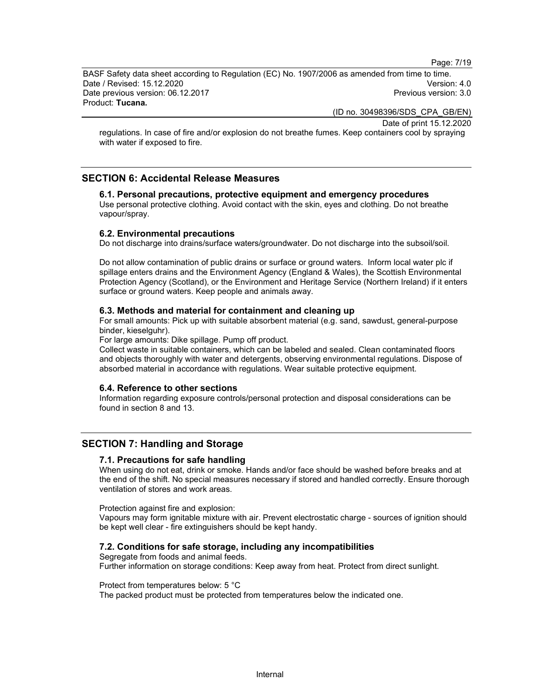Page: 7/19

BASF Safety data sheet according to Regulation (EC) No. 1907/2006 as amended from time to time. Date / Revised: 15.12.2020 Version: 4.0 Date previous version: 06.12.2017 **Previous version: 3.0** Previous version: 3.0 Product: Tucana.

(ID no. 30498396/SDS\_CPA\_GB/EN)

Date of print 15.12.2020

regulations. In case of fire and/or explosion do not breathe fumes. Keep containers cool by spraying with water if exposed to fire.

## SECTION 6: Accidental Release Measures

#### 6.1. Personal precautions, protective equipment and emergency procedures Use personal protective clothing. Avoid contact with the skin, eyes and clothing. Do not breathe vapour/spray.

#### 6.2. Environmental precautions

Do not discharge into drains/surface waters/groundwater. Do not discharge into the subsoil/soil.

Do not allow contamination of public drains or surface or ground waters. Inform local water plc if spillage enters drains and the Environment Agency (England & Wales), the Scottish Environmental Protection Agency (Scotland), or the Environment and Heritage Service (Northern Ireland) if it enters surface or ground waters. Keep people and animals away.

#### 6.3. Methods and material for containment and cleaning up

For small amounts: Pick up with suitable absorbent material (e.g. sand, sawdust, general-purpose binder, kieselguhr).

For large amounts: Dike spillage. Pump off product.

Collect waste in suitable containers, which can be labeled and sealed. Clean contaminated floors and objects thoroughly with water and detergents, observing environmental regulations. Dispose of absorbed material in accordance with regulations. Wear suitable protective equipment.

#### 6.4. Reference to other sections

Information regarding exposure controls/personal protection and disposal considerations can be found in section 8 and 13.

## SECTION 7: Handling and Storage

#### 7.1. Precautions for safe handling

When using do not eat, drink or smoke. Hands and/or face should be washed before breaks and at the end of the shift. No special measures necessary if stored and handled correctly. Ensure thorough ventilation of stores and work areas.

Protection against fire and explosion:

Vapours may form ignitable mixture with air. Prevent electrostatic charge - sources of ignition should be kept well clear - fire extinguishers should be kept handy.

## 7.2. Conditions for safe storage, including any incompatibilities

Segregate from foods and animal feeds.

Further information on storage conditions: Keep away from heat. Protect from direct sunlight.

#### Protect from temperatures below: 5 °C

The packed product must be protected from temperatures below the indicated one.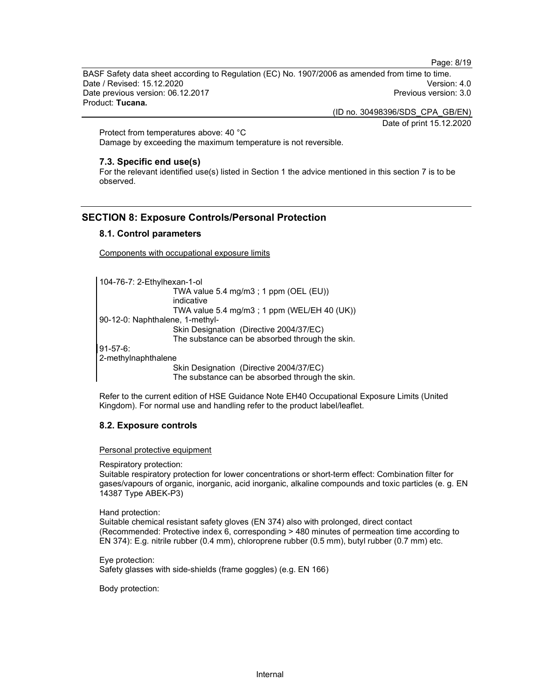Page: 8/19

BASF Safety data sheet according to Regulation (EC) No. 1907/2006 as amended from time to time. Date / Revised: 15.12.2020 Version: 4.0 Date previous version: 06.12.2017 **Previous version: 3.0** Previous version: 3.0 Product: Tucana.

(ID no. 30498396/SDS\_CPA\_GB/EN)

Date of print 15.12.2020

Protect from temperatures above: 40 °C Damage by exceeding the maximum temperature is not reversible.

#### 7.3. Specific end use(s)

For the relevant identified use(s) listed in Section 1 the advice mentioned in this section 7 is to be observed.

## SECTION 8: Exposure Controls/Personal Protection

## 8.1. Control parameters

Components with occupational exposure limits

```
104-76-7: 2-Ethylhexan-1-ol 
                    TWA value 5.4 mg/m3 ; 1 ppm (OEL (EU)) 
                   indicative 
                   TWA value 5.4 mg/m3 ; 1 ppm (WEL/EH 40 (UK))
90-12-0: Naphthalene, 1-methyl- 
                    Skin Designation (Directive 2004/37/EC) 
                   The substance can be absorbed through the skin. 
91-57-6: 
2-methylnaphthalene 
                    Skin Designation (Directive 2004/37/EC) 
                   The substance can be absorbed through the skin.
```
Refer to the current edition of HSE Guidance Note EH40 Occupational Exposure Limits (United Kingdom). For normal use and handling refer to the product label/leaflet.

## 8.2. Exposure controls

Personal protective equipment

Respiratory protection:

Suitable respiratory protection for lower concentrations or short-term effect: Combination filter for gases/vapours of organic, inorganic, acid inorganic, alkaline compounds and toxic particles (e. g. EN 14387 Type ABEK-P3)

Hand protection:

Suitable chemical resistant safety gloves (EN 374) also with prolonged, direct contact (Recommended: Protective index 6, corresponding > 480 minutes of permeation time according to EN 374): E.g. nitrile rubber (0.4 mm), chloroprene rubber (0.5 mm), butyl rubber (0.7 mm) etc.

Eye protection: Safety glasses with side-shields (frame goggles) (e.g. EN 166)

Body protection: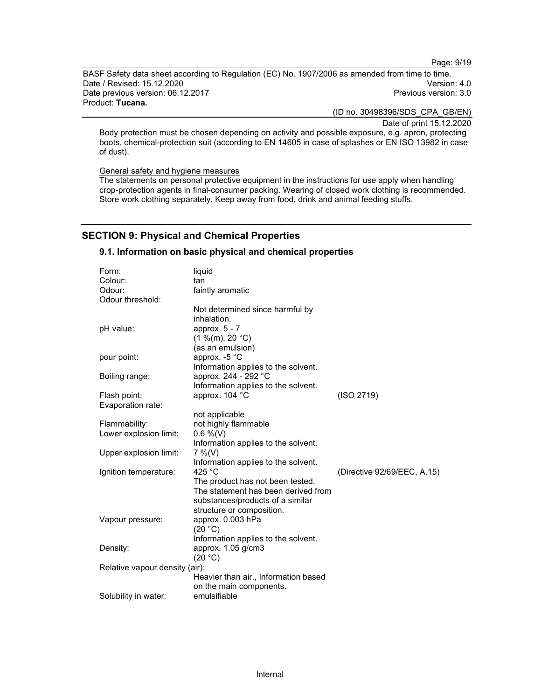Page: 9/19

BASF Safety data sheet according to Regulation (EC) No. 1907/2006 as amended from time to time. Date / Revised: 15.12.2020 Version: 4.0 Date previous version: 06.12.2017 **Previous version: 3.0** Previous version: 3.0 Product: Tucana.

(ID no. 30498396/SDS\_CPA\_GB/EN)

Date of print 15.12.2020

Body protection must be chosen depending on activity and possible exposure, e.g. apron, protecting boots, chemical-protection suit (according to EN 14605 in case of splashes or EN ISO 13982 in case of dust).

General safety and hygiene measures

The statements on personal protective equipment in the instructions for use apply when handling crop-protection agents in final-consumer packing. Wearing of closed work clothing is recommended. Store work clothing separately. Keep away from food, drink and animal feeding stuffs.

## SECTION 9: Physical and Chemical Properties

#### 9.1. Information on basic physical and chemical properties

| Form:                          | liquid                               |                             |
|--------------------------------|--------------------------------------|-----------------------------|
| Colour:                        | tan                                  |                             |
| Odour:                         | faintly aromatic                     |                             |
| Odour threshold:               |                                      |                             |
|                                | Not determined since harmful by      |                             |
|                                | inhalation.                          |                             |
| pH value:                      | approx. 5 - 7                        |                             |
|                                | (1 %(m), 20 °C)                      |                             |
|                                | (as an emulsion)                     |                             |
| pour point:                    | approx. $-5$ °C                      |                             |
|                                | Information applies to the solvent.  |                             |
| Boiling range:                 | approx. 244 - 292 °C                 |                             |
|                                | Information applies to the solvent.  |                             |
| Flash point:                   | approx. 104 °C                       | (ISO 2719)                  |
| Evaporation rate:              |                                      |                             |
|                                | not applicable                       |                             |
| Flammability:                  | not highly flammable                 |                             |
| Lower explosion limit:         | $0.6\%$ (V)                          |                             |
|                                | Information applies to the solvent.  |                             |
| Upper explosion limit:         | $7\%$ (V)                            |                             |
|                                | Information applies to the solvent.  |                             |
| Ignition temperature:          | 425 $^{\circ}$ C                     | (Directive 92/69/EEC, A.15) |
|                                | The product has not been tested.     |                             |
|                                | The statement has been derived from  |                             |
|                                | substances/products of a similar     |                             |
|                                | structure or composition.            |                             |
| Vapour pressure:               | approx. 0.003 hPa                    |                             |
|                                | (20 °C)                              |                             |
|                                | Information applies to the solvent.  |                             |
| Density:                       | approx. 1.05 g/cm3                   |                             |
|                                | (20 °C)                              |                             |
| Relative vapour density (air): |                                      |                             |
|                                | Heavier than air., Information based |                             |
|                                | on the main components.              |                             |
| Solubility in water:           | emulsifiable                         |                             |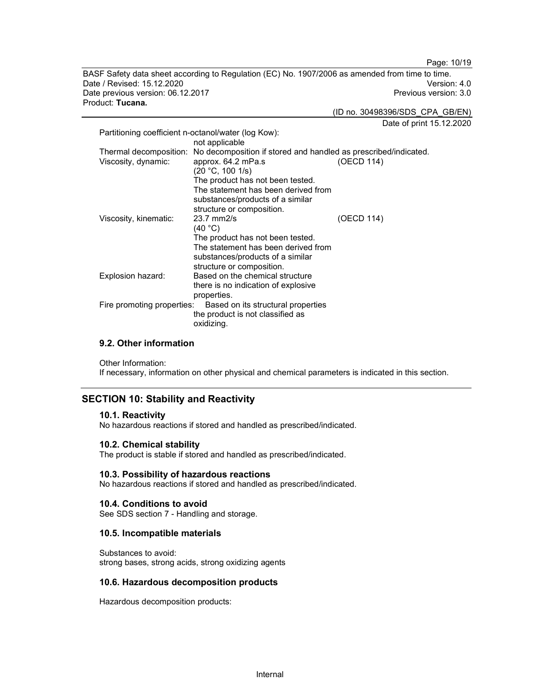Page: 10/19

BASF Safety data sheet according to Regulation (EC) No. 1907/2006 as amended from time to time. Date / Revised: 15.12.2020 Version: 4.0 Date previous version: 06.12.2017 **Previous version: 3.0** Previous version: 3.0 Product: Tucana.

(ID no. 30498396/SDS\_CPA\_GB/EN)

Date of print 15.12.2020

|                                                     |                                                                                                                                                                                                                                                       | Dais of print |
|-----------------------------------------------------|-------------------------------------------------------------------------------------------------------------------------------------------------------------------------------------------------------------------------------------------------------|---------------|
| Partitioning coefficient n-octanol/water (log Kow): | not applicable                                                                                                                                                                                                                                        |               |
| Thermal decomposition:<br>Viscosity, dynamic:       | No decomposition if stored and handled as prescribed/indicated.<br>approx. 64.2 mPa.s<br>(20 °C, 100 1/s)<br>The product has not been tested.<br>The statement has been derived from<br>substances/products of a similar<br>structure or composition. | (OECD 114)    |
| Viscosity, kinematic:                               | $23.7$ mm $2/s$<br>(40 °C)<br>The product has not been tested.<br>The statement has been derived from<br>substances/products of a similar<br>structure or composition.                                                                                | (OECD 114)    |
| Explosion hazard:                                   | Based on the chemical structure<br>there is no indication of explosive<br>properties.                                                                                                                                                                 |               |
| Fire promoting properties:                          | Based on its structural properties<br>the product is not classified as<br>oxidizing.                                                                                                                                                                  |               |

#### 9.2. Other information

Other Information: If necessary, information on other physical and chemical parameters is indicated in this section.

## SECTION 10: Stability and Reactivity

#### 10.1. Reactivity

No hazardous reactions if stored and handled as prescribed/indicated.

## 10.2. Chemical stability

The product is stable if stored and handled as prescribed/indicated.

#### 10.3. Possibility of hazardous reactions

No hazardous reactions if stored and handled as prescribed/indicated.

#### 10.4. Conditions to avoid

See SDS section 7 - Handling and storage.

#### 10.5. Incompatible materials

Substances to avoid: strong bases, strong acids, strong oxidizing agents

#### 10.6. Hazardous decomposition products

Hazardous decomposition products: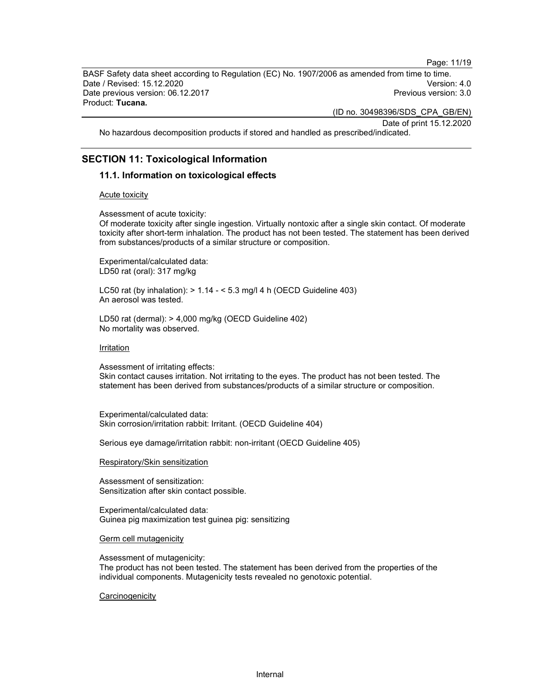Page: 11/19

BASF Safety data sheet according to Regulation (EC) No. 1907/2006 as amended from time to time. Date / Revised: 15.12.2020 Version: 4.0 Date previous version: 06.12.2017 **Previous version: 3.0** Previous version: 3.0 Product: Tucana.

(ID no. 30498396/SDS\_CPA\_GB/EN)

Date of print 15.12.2020

No hazardous decomposition products if stored and handled as prescribed/indicated.

## SECTION 11: Toxicological Information

#### 11.1. Information on toxicological effects

#### Acute toxicity

Assessment of acute toxicity:

Of moderate toxicity after single ingestion. Virtually nontoxic after a single skin contact. Of moderate toxicity after short-term inhalation. The product has not been tested. The statement has been derived from substances/products of a similar structure or composition.

Experimental/calculated data: LD50 rat (oral): 317 mg/kg

LC50 rat (by inhalation): > 1.14 - < 5.3 mg/l 4 h (OECD Guideline 403) An aerosol was tested.

LD50 rat (dermal): > 4,000 mg/kg (OECD Guideline 402) No mortality was observed.

#### Irritation

Assessment of irritating effects:

Skin contact causes irritation. Not irritating to the eyes. The product has not been tested. The statement has been derived from substances/products of a similar structure or composition.

Experimental/calculated data: Skin corrosion/irritation rabbit: Irritant. (OECD Guideline 404)

Serious eye damage/irritation rabbit: non-irritant (OECD Guideline 405)

#### Respiratory/Skin sensitization

Assessment of sensitization: Sensitization after skin contact possible.

Experimental/calculated data: Guinea pig maximization test guinea pig: sensitizing

Germ cell mutagenicity

Assessment of mutagenicity:

The product has not been tested. The statement has been derived from the properties of the individual components. Mutagenicity tests revealed no genotoxic potential.

#### **Carcinogenicity**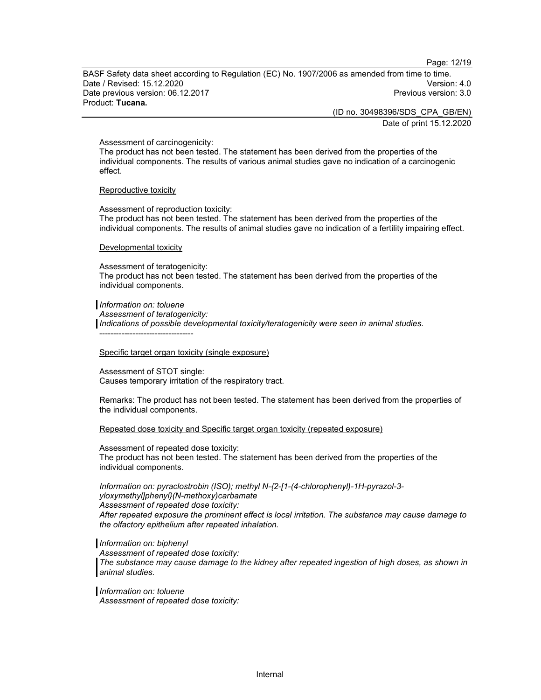Page: 12/19

BASF Safety data sheet according to Regulation (EC) No. 1907/2006 as amended from time to time. Date / Revised: 15.12.2020 Version: 4.0 Date previous version: 06.12.2017 **Previous version: 3.0** Previous version: 3.0 Product: Tucana.

(ID no. 30498396/SDS\_CPA\_GB/EN)

Date of print 15.12.2020

Assessment of carcinogenicity:

The product has not been tested. The statement has been derived from the properties of the individual components. The results of various animal studies gave no indication of a carcinogenic effect.

#### Reproductive toxicity

Assessment of reproduction toxicity: The product has not been tested. The statement has been derived from the properties of the individual components. The results of animal studies gave no indication of a fertility impairing effect.

#### Developmental toxicity

Assessment of teratogenicity: The product has not been tested. The statement has been derived from the properties of the individual components.

Information on: toluene Assessment of teratogenicity: Indications of possible developmental toxicity/teratogenicity were seen in animal studies. ----------------------------------

#### Specific target organ toxicity (single exposure)

Assessment of STOT single: Causes temporary irritation of the respiratory tract.

Remarks: The product has not been tested. The statement has been derived from the properties of the individual components.

#### Repeated dose toxicity and Specific target organ toxicity (repeated exposure)

#### Assessment of repeated dose toxicity:

The product has not been tested. The statement has been derived from the properties of the individual components.

Information on: pyraclostrobin (ISO); methyl N-{2-[1-(4-chlorophenyl)-1H-pyrazol-3 yloxymethyl]phenyl}(N-methoxy)carbamate Assessment of repeated dose toxicity: After repeated exposure the prominent effect is local irritation. The substance may cause damage to the olfactory epithelium after repeated inhalation.

#### Information on: biphenyl

Assessment of repeated dose toxicity: The substance may cause damage to the kidney after repeated ingestion of high doses, as shown in animal studies.

Information on: toluene Assessment of repeated dose toxicity: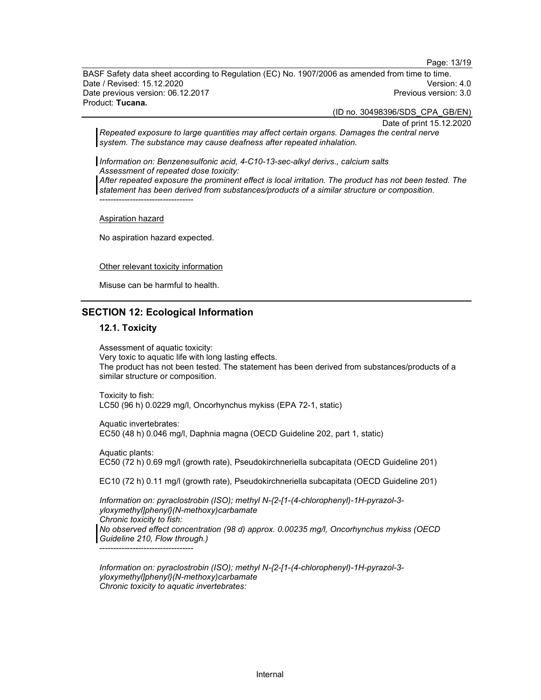Page: 13/19

BASF Safety data sheet according to Regulation (EC) No. 1907/2006 as amended from time to time. Date / Revised: 15.12.2020 Version: 4.0 Date previous version: 06.12.2017 **Previous version: 3.0** Previous version: 3.0 Product: Tucana.

(ID no. 30498396/SDS\_CPA\_GB/EN)

Date of print 15.12.2020

Repeated exposure to large quantities may affect certain organs. Damages the central nerve system. The substance may cause deafness after repeated inhalation.

Information on: Benzenesulfonic acid, 4-C10-13-sec-alkyl derivs., calcium salts Assessment of repeated dose toxicity:

After repeated exposure the prominent effect is local irritation. The product has not been tested. The statement has been derived from substances/products of a similar structure or composition.

Aspiration hazard

No aspiration hazard expected.

----------------------------------

Other relevant toxicity information

Misuse can be harmful to health.

#### SECTION 12: Ecological Information

#### 12.1. Toxicity

Assessment of aquatic toxicity: Very toxic to aquatic life with long lasting effects. The product has not been tested. The statement has been derived from substances/products of a similar structure or composition.

Toxicity to fish: LC50 (96 h) 0.0229 mg/l, Oncorhynchus mykiss (EPA 72-1, static)

Aquatic invertebrates: EC50 (48 h) 0.046 mg/l, Daphnia magna (OECD Guideline 202, part 1, static)

Aquatic plants: EC50 (72 h) 0.69 mg/l (growth rate), Pseudokirchneriella subcapitata (OECD Guideline 201)

EC10 (72 h) 0.11 mg/l (growth rate), Pseudokirchneriella subcapitata (OECD Guideline 201)

Information on: pyraclostrobin (ISO); methyl N-{2-[1-(4-chlorophenyl)-1H-pyrazol-3 yloxymethyl]phenyl}(N-methoxy)carbamate Chronic toxicity to fish: No observed effect concentration (98 d) approx. 0.00235 mg/l, Oncorhynchus mykiss (OECD Guideline 210, Flow through.)

----------------------------------

Information on: pyraclostrobin (ISO); methyl N-{2-[1-(4-chlorophenyl)-1H-pyrazol-3 yloxymethyl]phenyl}(N-methoxy)carbamate Chronic toxicity to aquatic invertebrates: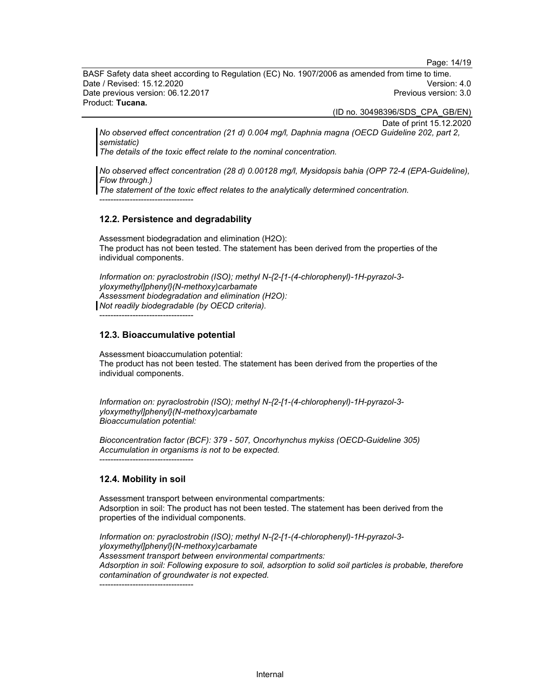Page: 14/19

BASF Safety data sheet according to Regulation (EC) No. 1907/2006 as amended from time to time. Date / Revised: 15.12.2020 Version: 4.0 Date previous version: 06.12.2017 **Previous version: 3.0** Previous version: 3.0 Product: Tucana.

(ID no. 30498396/SDS\_CPA\_GB/EN)

Date of print 15.12.2020

No observed effect concentration (21 d) 0.004 mg/l, Daphnia magna (OECD Guideline 202, part 2, semistatic)

The details of the toxic effect relate to the nominal concentration.

No observed effect concentration (28 d) 0.00128 mg/l, Mysidopsis bahia (OPP 72-4 (EPA-Guideline), Flow through.)

The statement of the toxic effect relates to the analytically determined concentration.

----------------------------------

#### 12.2. Persistence and degradability

Assessment biodegradation and elimination (H2O): The product has not been tested. The statement has been derived from the properties of the individual components.

Information on: pyraclostrobin (ISO); methyl N-{2-[1-(4-chlorophenyl)-1H-pyrazol-3 yloxymethyl]phenyl}(N-methoxy)carbamate Assessment biodegradation and elimination (H2O): Not readily biodegradable (by OECD criteria).

----------------------------------

### 12.3. Bioaccumulative potential

Assessment bioaccumulation potential: The product has not been tested. The statement has been derived from the properties of the individual components.

Information on: pyraclostrobin (ISO); methyl N-{2-[1-(4-chlorophenyl)-1H-pyrazol-3 yloxymethyl]phenyl}(N-methoxy)carbamate Bioaccumulation potential:

Bioconcentration factor (BCF): 379 - 507, Oncorhynchus mykiss (OECD-Guideline 305) Accumulation in organisms is not to be expected. ----------------------------------

#### 12.4. Mobility in soil

Assessment transport between environmental compartments: Adsorption in soil: The product has not been tested. The statement has been derived from the properties of the individual components.

Information on: pyraclostrobin (ISO); methyl N-{2-[1-(4-chlorophenyl)-1H-pyrazol-3 yloxymethyl]phenyl}(N-methoxy)carbamate Assessment transport between environmental compartments: Adsorption in soil: Following exposure to soil, adsorption to solid soil particles is probable, therefore contamination of groundwater is not expected.

----------------------------------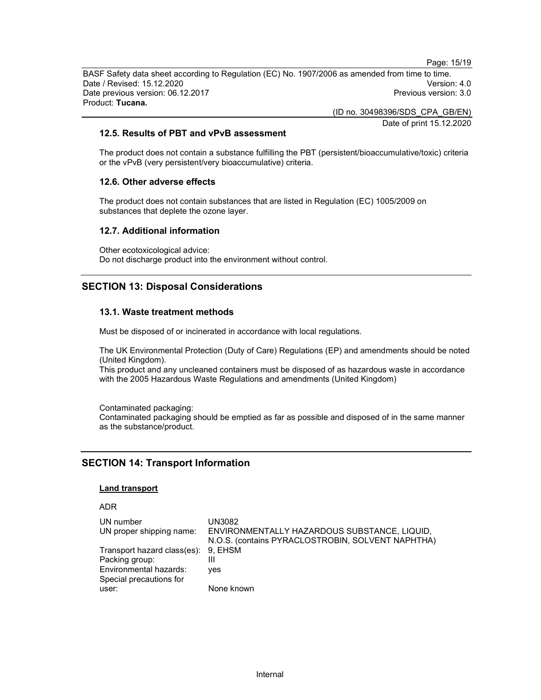BASF Safety data sheet according to Regulation (EC) No. 1907/2006 as amended from time to time. Date / Revised: 15.12.2020 Version: 4.0 Date previous version: 06.12.2017 **Previous version: 3.0** Previous version: 3.0 Product: Tucana.

(ID no. 30498396/SDS\_CPA\_GB/EN)

Date of print 15.12.2020

Page: 15/19

## 12.5. Results of PBT and vPvB assessment

The product does not contain a substance fulfilling the PBT (persistent/bioaccumulative/toxic) criteria or the vPvB (very persistent/very bioaccumulative) criteria.

## 12.6. Other adverse effects

The product does not contain substances that are listed in Regulation (EC) 1005/2009 on substances that deplete the ozone layer.

## 12.7. Additional information

Other ecotoxicological advice: Do not discharge product into the environment without control.

## SECTION 13: Disposal Considerations

## 13.1. Waste treatment methods

Must be disposed of or incinerated in accordance with local regulations.

The UK Environmental Protection (Duty of Care) Regulations (EP) and amendments should be noted (United Kingdom).

This product and any uncleaned containers must be disposed of as hazardous waste in accordance with the 2005 Hazardous Waste Regulations and amendments (United Kingdom)

Contaminated packaging: Contaminated packaging should be emptied as far as possible and disposed of in the same manner as the substance/product.

## SECTION 14: Transport Information

### Land transport

#### ADR

| UN number                           | UN3082                                            |
|-------------------------------------|---------------------------------------------------|
| UN proper shipping name:            | ENVIRONMENTALLY HAZARDOUS SUBSTANCE, LIQUID,      |
|                                     | N.O.S. (contains PYRACLOSTROBIN, SOLVENT NAPHTHA) |
| Transport hazard class(es): 9, EHSM |                                                   |
| Packing group:                      |                                                   |
| Environmental hazards:              | ves                                               |
| Special precautions for             |                                                   |
| user:                               | None known                                        |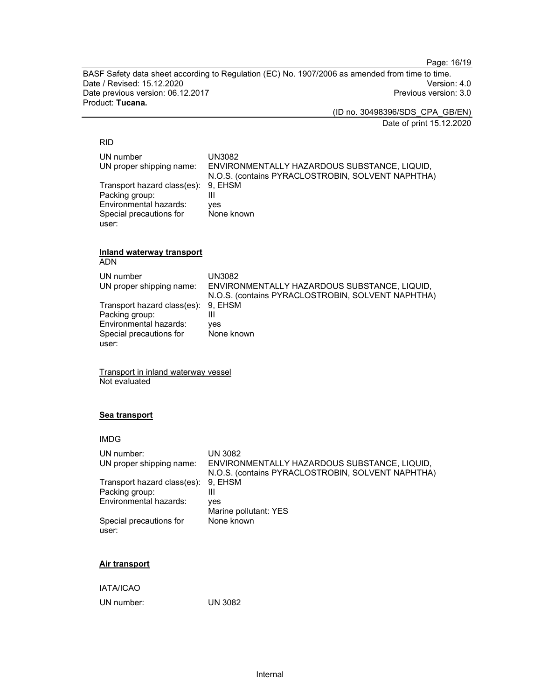Page: 16/19

BASF Safety data sheet according to Regulation (EC) No. 1907/2006 as amended from time to time. Date / Revised: 15.12.2020 Date previous version: 06.12.2017 **Previous version: 3.0** Previous version: 3.0 Product: Tucana.

(ID no. 30498396/SDS\_CPA\_GB/EN)

Date of print 15.12.2020

#### RID

| UN number                           | UN3082                                            |
|-------------------------------------|---------------------------------------------------|
| UN proper shipping name:            | ENVIRONMENTALLY HAZARDOUS SUBSTANCE, LIQUID,      |
|                                     | N.O.S. (contains PYRACLOSTROBIN, SOLVENT NAPHTHA) |
| Transport hazard class(es): 9, EHSM |                                                   |
| Packing group:                      |                                                   |
| Environmental hazards:              | ves                                               |
| Special precautions for             | None known                                        |
| user:                               |                                                   |

## Inland waterway transport

ADN

| UN number<br>UN proper shipping name: | UN3082<br>ENVIRONMENTALLY HAZARDOUS SUBSTANCE, LIQUID,<br>N.O.S. (contains PYRACLOSTROBIN, SOLVENT NAPHTHA) |
|---------------------------------------|-------------------------------------------------------------------------------------------------------------|
| Transport hazard class(es): 9, EHSM   |                                                                                                             |
| Packing group:                        | Ш                                                                                                           |
| Environmental hazards:                | ves                                                                                                         |
| Special precautions for               | None known                                                                                                  |
| user:                                 |                                                                                                             |

Transport in inland waterway vessel Not evaluated

### Sea transport

| UN number:<br>UN proper shipping name: | <b>UN 3082</b><br>ENVIRONMENTALLY HAZARDOUS SUBSTANCE, LIQUID, |
|----------------------------------------|----------------------------------------------------------------|
|                                        | N.O.S. (contains PYRACLOSTROBIN, SOLVENT NAPHTHA)              |
| Transport hazard class(es):            | 9. EHSM                                                        |
| Packing group:                         | Ш                                                              |
| Environmental hazards:                 | ves                                                            |
|                                        | Marine pollutant: YES                                          |
| Special precautions for<br>user:       | None known                                                     |

## Air transport

IATA/ICAO

UN number: UN 3082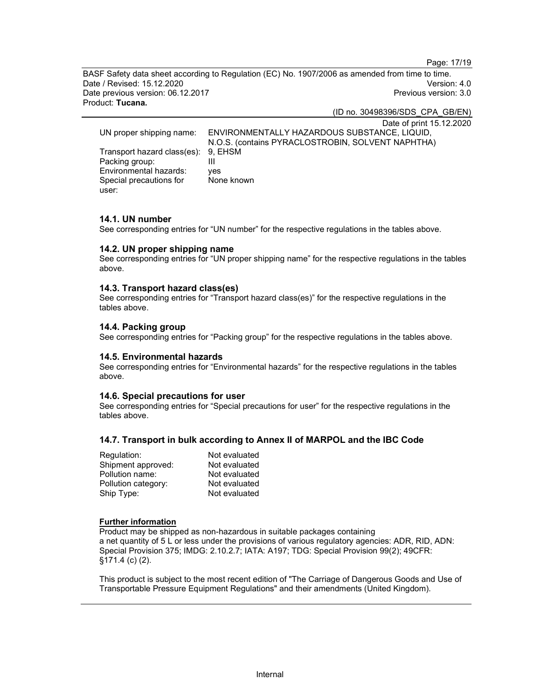Page: 17/19

BASF Safety data sheet according to Regulation (EC) No. 1907/2006 as amended from time to time. Date / Revised: 15.12.2020 Version: 4.0 Date previous version: 06.12.2017 **Previous version: 3.0** Previous version: 3.0 Product: Tucana.

(ID no. 30498396/SDS\_CPA\_GB/EN)

Date of print 15.12.2020 UN proper shipping name: ENVIRONMENTALLY HAZARDOUS SUBSTANCE, LIQUID, N.O.S. (contains PYRACLOSTROBIN, SOLVENT NAPHTHA) Transport hazard class(es): 9, EHSM Packing group: III Environmental hazards: yes Special precautions for user: None known

#### 14.1. UN number

See corresponding entries for "UN number" for the respective regulations in the tables above.

#### 14.2. UN proper shipping name

See corresponding entries for "UN proper shipping name" for the respective regulations in the tables above.

#### 14.3. Transport hazard class(es)

See corresponding entries for "Transport hazard class(es)" for the respective regulations in the tables above.

#### 14.4. Packing group

See corresponding entries for "Packing group" for the respective regulations in the tables above.

#### 14.5. Environmental hazards

See corresponding entries for "Environmental hazards" for the respective regulations in the tables above.

#### 14.6. Special precautions for user

See corresponding entries for "Special precautions for user" for the respective regulations in the tables above.

## 14.7. Transport in bulk according to Annex II of MARPOL and the IBC Code

| Regulation:         | Not evaluated |
|---------------------|---------------|
| Shipment approved:  | Not evaluated |
| Pollution name:     | Not evaluated |
| Pollution category: | Not evaluated |
| Ship Type:          | Not evaluated |

#### Further information

Product may be shipped as non-hazardous in suitable packages containing a net quantity of 5 L or less under the provisions of various regulatory agencies: ADR, RID, ADN: Special Provision 375; IMDG: 2.10.2.7; IATA: A197; TDG: Special Provision 99(2); 49CFR: §171.4 (c) (2).

This product is subject to the most recent edition of "The Carriage of Dangerous Goods and Use of Transportable Pressure Equipment Regulations" and their amendments (United Kingdom).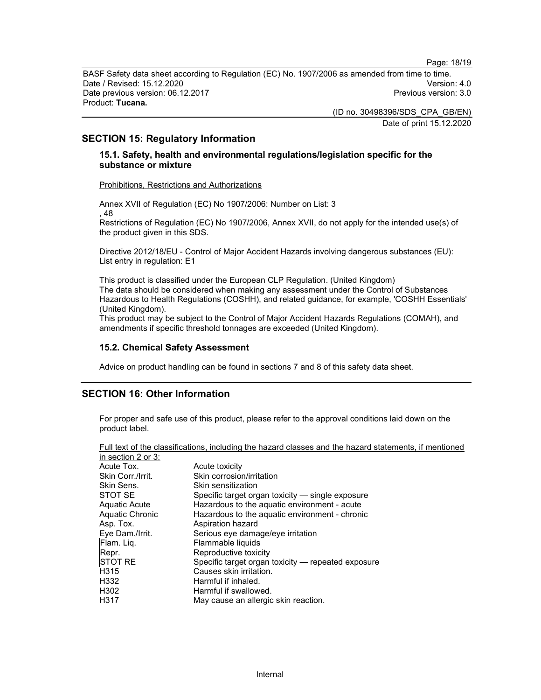Page: 18/19

BASF Safety data sheet according to Regulation (EC) No. 1907/2006 as amended from time to time. Date / Revised: 15.12.2020 Version: 4.0 Date previous version: 06.12.2017 **Previous version: 3.0** Previous version: 3.0 Product: Tucana.

> (ID no. 30498396/SDS\_CPA\_GB/EN) Date of print 15.12.2020

SECTION 15: Regulatory Information

## 15.1. Safety, health and environmental regulations/legislation specific for the substance or mixture

Prohibitions, Restrictions and Authorizations

Annex XVII of Regulation (EC) No 1907/2006: Number on List: 3 , 48

Restrictions of Regulation (EC) No 1907/2006, Annex XVII, do not apply for the intended use(s) of the product given in this SDS.

Directive 2012/18/EU - Control of Major Accident Hazards involving dangerous substances (EU): List entry in regulation: E1

This product is classified under the European CLP Regulation. (United Kingdom) The data should be considered when making any assessment under the Control of Substances Hazardous to Health Regulations (COSHH), and related guidance, for example, 'COSHH Essentials' (United Kingdom).

This product may be subject to the Control of Major Accident Hazards Regulations (COMAH), and amendments if specific threshold tonnages are exceeded (United Kingdom).

## 15.2. Chemical Safety Assessment

Advice on product handling can be found in sections 7 and 8 of this safety data sheet.

## SECTION 16: Other Information

For proper and safe use of this product, please refer to the approval conditions laid down on the product label.

|                    | Full text of the classifications, including the hazard classes and the hazard statements, if mentioned |
|--------------------|--------------------------------------------------------------------------------------------------------|
| in section 2 or 3: |                                                                                                        |
| Acute Tox.         | Acute toxicity                                                                                         |
| Skin Corr./Irrit.  | Skin corrosion/irritation                                                                              |
| Skin Sens.         | Skin sensitization                                                                                     |
| STOT SE            | Specific target organ toxicity — single exposure                                                       |
| Aquatic Acute      | Hazardous to the aquatic environment - acute                                                           |
| Aquatic Chronic    | Hazardous to the aquatic environment - chronic                                                         |
| Asp. Tox.          | Aspiration hazard                                                                                      |
| Eye Dam./Irrit.    | Serious eye damage/eye irritation                                                                      |
| Flam. Lig.         | Flammable liquids                                                                                      |
| Repr.              | Reproductive toxicity                                                                                  |
| <b>ISTOT RE</b>    | Specific target organ toxicity — repeated exposure                                                     |
| H315               | Causes skin irritation.                                                                                |
| H332               | Harmful if inhaled.                                                                                    |
| H302               | Harmful if swallowed.                                                                                  |